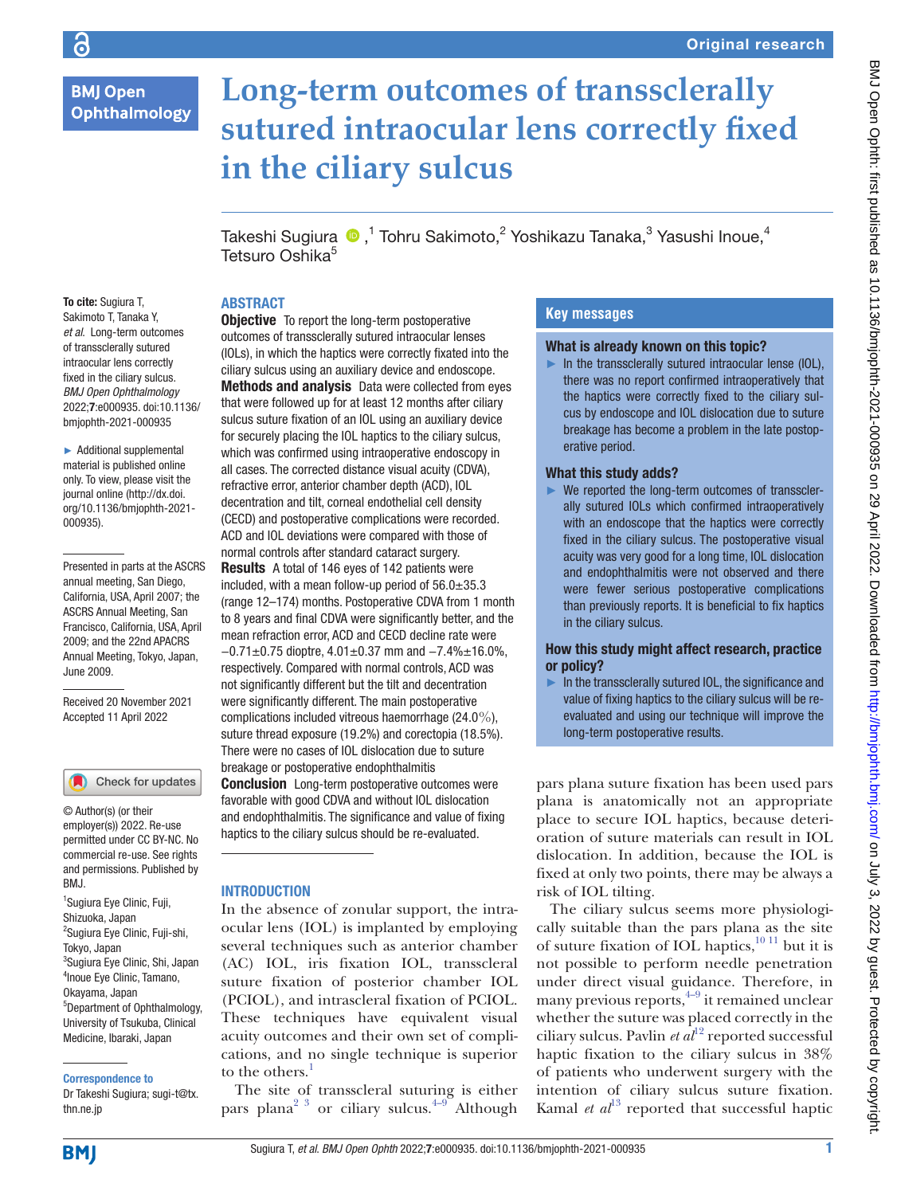6

# **Long-term outcomes of transsclerally sutured intraocular lens correctly fixed in the ciliary sulcus**

TakeshiSugiura  $\bigcirc$  , $^1$  Tohru Sakimoto, $^2$  Yoshikazu Tanaka, $^3$  Yasushi Inoue, $^4$ Tetsuro Oshika<sup>5</sup>

# **ABSTRACT**

To cite: Sugiura T, Sakimoto T, Tanaka Y, *et al*. Long-term outcomes of transsclerally sutured intraocular lens correctly fixed in the ciliary sulcus. *BMJ Open Ophthalmology* 2022;7:e000935. doi:10.1136/ bmjophth-2021-000935

► Additional supplemental material is published online only. To view, please visit the journal online ([http://dx.doi.](http://dx.doi.org/10.1136/bmjophth-2021-000935) [org/10.1136/bmjophth-2021-](http://dx.doi.org/10.1136/bmjophth-2021-000935) [000935](http://dx.doi.org/10.1136/bmjophth-2021-000935)).

Presented in parts at the ASCRS annual meeting, San Diego, California, USA, April 2007; the ASCRS Annual Meeting, San Francisco, California, USA, April 2009; and the 22nd APACRS Annual Meeting, Tokyo, Japan, June 2009.

Received 20 November 2021 Accepted 11 April 2022

Check for updates

© Author(s) (or their employer(s)) 2022. Re-use permitted under CC BY-NC. No commercial re-use. See rights and permissions. Published by BMJ.

<sup>1</sup>Sugiura Eye Clinic, Fuji, Shizuoka, Japan <sup>2</sup>Sugiura Eye Clinic, Fuji-shi, Tokyo, Japan 3 Sugiura Eye Clinic, Shi, Japan 4 Inoue Eye Clinic, Tamano, Okayama, Japan 5 Department of Ophthalmology, University of Tsukuba, Clinical Medicine, Ibaraki, Japan

Correspondence to

Dr Takeshi Sugiura; sugi-t@tx. thn.ne.jp

**Objective** To report the long-term postoperative outcomes of transsclerally sutured intraocular lenses (IOLs), in which the haptics were correctly fixated into the ciliary sulcus using an auxiliary device and endoscope. Methods and analysis Data were collected from eyes that were followed up for at least 12 months after ciliary sulcus suture fixation of an IOL using an auxiliary device for securely placing the IOL haptics to the ciliary sulcus, which was confirmed using intraoperative endoscopy in all cases. The corrected distance visual acuity (CDVA), refractive error, anterior chamber depth (ACD), IOL decentration and tilt, corneal endothelial cell density (CECD) and postoperative complications were recorded. ACD and IOL deviations were compared with those of normal controls after standard cataract surgery. Results A total of 146 eyes of 142 patients were included, with a mean follow-up period of  $56.0 \pm 35.3$ (range 12–174) months. Postoperative CDVA from 1 month to 8 years and final CDVA were significantly better, and the mean refraction error, ACD and CECD decline rate were −0.71±0.75 dioptre, 4.01±0.37 mm and −7.4%±16.0%, respectively. Compared with normal controls, ACD was not significantly different but the tilt and decentration were significantly different. The main postoperative complications included vitreous haemorrhage (24.0%), suture thread exposure (19.2%) and corectopia (18.5%). There were no cases of IOL dislocation due to suture breakage or postoperative endophthalmitis

**Conclusion** Long-term postoperative outcomes were favorable with good CDVA and without IOL dislocation and endophthalmitis. The significance and value of fixing haptics to the ciliary sulcus should be re-evaluated.

# **INTRODUCTION**

In the absence of zonular support, the intraocular lens (IOL) is implanted by employing several techniques such as anterior chamber (AC) IOL, iris fixation IOL, transscleral suture fixation of posterior chamber IOL (PCIOL), and intrascleral fixation of PCIOL. These techniques have equivalent visual acuity outcomes and their own set of complications, and no single technique is superior to the others.<sup>1</sup>

The site of transscleral suturing is either pars plana<sup>2 3</sup> or ciliary sulcus.<sup>[4–9](#page-5-1)</sup> Although

# **Key messages**

# What is already known on this topic?

 $\blacktriangleright$  In the transsclerally sutured intraocular lense (IOL), there was no report confirmed intraoperatively that the haptics were correctly fixed to the ciliary sulcus by endoscope and IOL dislocation due to suture breakage has become a problem in the late postoperative period.

# What this study adds?

► We reported the long-term outcomes of transsclerally sutured IOLs which confirmed intraoperatively with an endoscope that the haptics were correctly fixed in the ciliary sulcus. The postoperative visual acuity was very good for a long time, IOL dislocation and endophthalmitis were not observed and there were fewer serious postoperative complications than previously reports. It is beneficial to fix haptics in the ciliary sulcus.

### How this study might affect research, practice or policy?

 $\blacktriangleright$  In the transsclerally sutured IOL, the significance and value of fixing haptics to the ciliary sulcus will be reevaluated and using our technique will improve the long-term postoperative results.

pars plana suture fixation has been used pars plana is anatomically not an appropriate place to secure IOL haptics, because deterioration of suture materials can result in IOL dislocation. In addition, because the IOL is fixed at only two points, there may be always a risk of IOL tilting.

The ciliary sulcus seems more physiologically suitable than the pars plana as the site of suture fixation of IOL haptics, $10^{11}$  but it is not possible to perform needle penetration under direct visual guidance. Therefore, in many previous reports,  $4-9$  it remained unclear whether the suture was placed correctly in the ciliary sulcus. Pavlin  $et \frac{d^{12}}{dt^2}$  reported successful haptic fixation to the ciliary sulcus in 38% of patients who underwent surgery with the intention of ciliary sulcus suture fixation. Kamal *et*  $al<sup>13</sup>$  $al<sup>13</sup>$  $al<sup>13</sup>$  reported that successful haptic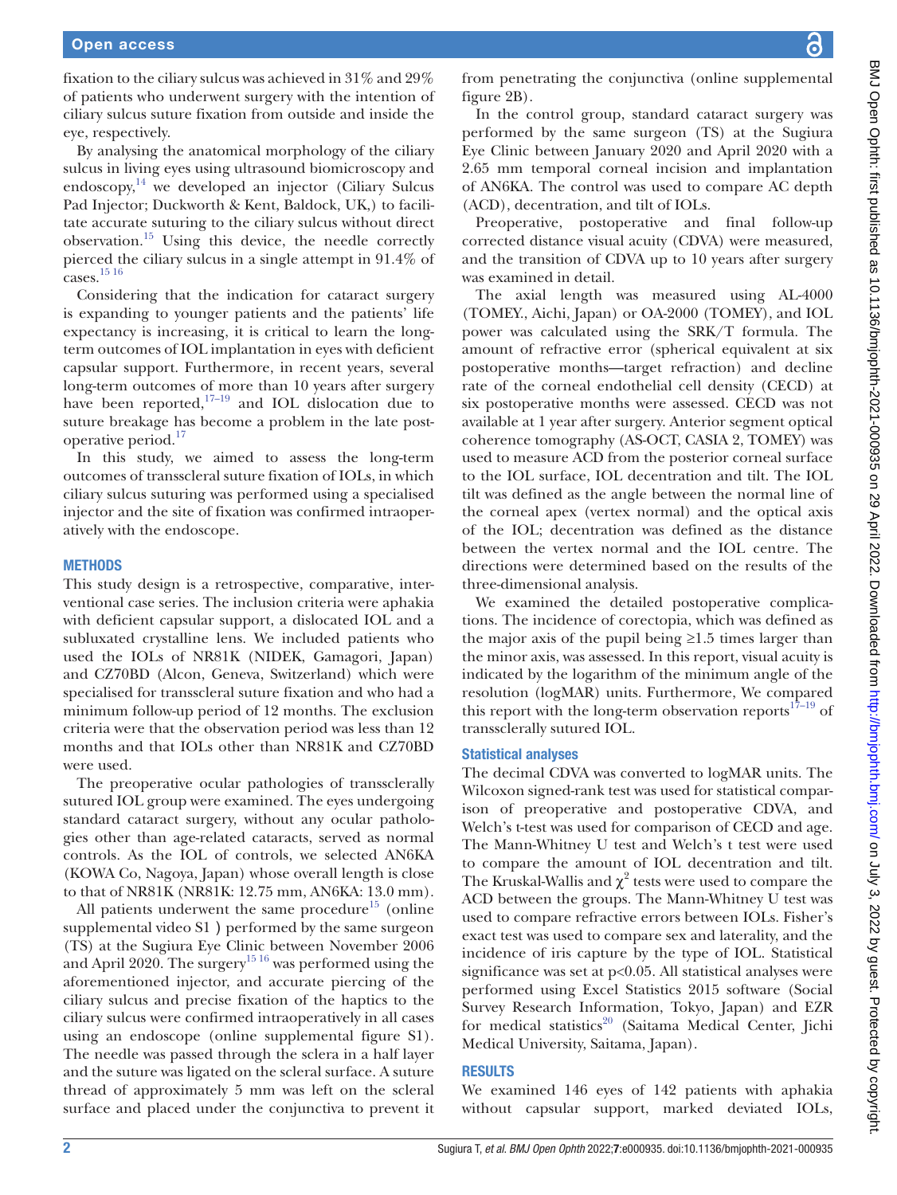fixation to the ciliary sulcus was achieved in 31% and 29% of patients who underwent surgery with the intention of ciliary sulcus suture fixation from outside and inside the eye, respectively.

By analysing the anatomical morphology of the ciliary sulcus in living eyes using ultrasound biomicroscopy and endoscopy, $14$  we developed an injector (Ciliary Sulcus Pad Injector; Duckworth & Kent, Baldock, UK,) to facilitate accurate suturing to the ciliary sulcus without direct observation.<sup>15</sup> Using this device, the needle correctly pierced the ciliary sulcus in a single attempt in 91.4% of  $\frac{2}{\text{cases}}$ . [15 16](#page-6-4)

Considering that the indication for cataract surgery is expanding to younger patients and the patients' life expectancy is increasing, it is critical to learn the longterm outcomes of IOL implantation in eyes with deficient capsular support. Furthermore, in recent years, several long-term outcomes of more than 10 years after surgery have been reported, $17-19$  and IOL dislocation due to suture breakage has become a problem in the late post-operative period.<sup>[17](#page-6-5)</sup>

In this study, we aimed to assess the long-term outcomes of transscleral suture fixation of IOLs, in which ciliary sulcus suturing was performed using a specialised injector and the site of fixation was confirmed intraoperatively with the endoscope.

#### **METHODS**

This study design is a retrospective, comparative, interventional case series. The inclusion criteria were aphakia with deficient capsular support, a dislocated IOL and a subluxated crystalline lens. We included patients who used the IOLs of NR81K (NIDEK, Gamagori, Japan) and CZ70BD (Alcon, Geneva, Switzerland) which were specialised for transscleral suture fixation and who had a minimum follow-up period of 12 months. The exclusion criteria were that the observation period was less than 12 months and that IOLs other than NR81K and CZ70BD were used.

The preoperative ocular pathologies of transsclerally sutured IOL group were examined. The eyes undergoing standard cataract surgery, without any ocular pathologies other than age-related cataracts, served as normal controls. As the IOL of controls, we selected AN6KA (KOWA Co, Nagoya, Japan) whose overall length is close to that of NR81K (NR81K: 12.75 mm, AN6KA: 13.0 mm).

All patients underwent the same procedure<sup>[15](#page-6-4)</sup> [\(online](https://dx.doi.org/10.1136/bmjophth-2021-000935) [supplemental video S1](https://dx.doi.org/10.1136/bmjophth-2021-000935)) performed by the same surgeon (TS) at the Sugiura Eye Clinic between November 2006 and April 2020. The surgery<sup>15 16</sup> was performed using the aforementioned injector, and accurate piercing of the ciliary sulcus and precise fixation of the haptics to the ciliary sulcus were confirmed intraoperatively in all cases using an endoscope ([online supplemental figure S1](https://dx.doi.org/10.1136/bmjophth-2021-000935)). The needle was passed through the sclera in a half layer and the suture was ligated on the scleral surface. A suture thread of approximately 5 mm was left on the scleral surface and placed under the conjunctiva to prevent it from penetrating the conjunctiva [\(online supplemental](https://dx.doi.org/10.1136/bmjophth-2021-000935) [figure 2B](https://dx.doi.org/10.1136/bmjophth-2021-000935)).

In the control group, standard cataract surgery was performed by the same surgeon (TS) at the Sugiura Eye Clinic between January 2020 and April 2020 with a 2.65 mm temporal corneal incision and implantation of AN6KA. The control was used to compare AC depth (ACD), decentration, and tilt of IOLs.

Preoperative, postoperative and final follow-up corrected distance visual acuity (CDVA) were measured, and the transition of CDVA up to 10 years after surgery was examined in detail.

The axial length was measured using AL-4000 (TOMEY., Aichi, Japan) or OA-2000 (TOMEY), and IOL power was calculated using the SRK/T formula. The amount of refractive error (spherical equivalent at six postoperative months—target refraction) and decline rate of the corneal endothelial cell density (CECD) at six postoperative months were assessed. CECD was not available at 1 year after surgery. Anterior segment optical coherence tomography (AS-OCT, CASIA 2, TOMEY) was used to measure ACD from the posterior corneal surface to the IOL surface, IOL decentration and tilt. The IOL tilt was defined as the angle between the normal line of the corneal apex (vertex normal) and the optical axis of the IOL; decentration was defined as the distance between the vertex normal and the IOL centre. The directions were determined based on the results of the three-dimensional analysis.

We examined the detailed postoperative complications. The incidence of corectopia, which was defined as the major axis of the pupil being  $\geq 1.5$  times larger than the minor axis, was assessed. In this report, visual acuity is indicated by the logarithm of the minimum angle of the resolution (logMAR) units. Furthermore, We compared this report with the long-term observation reports $17-19$  of transsclerally sutured IOL.

#### Statistical analyses

The decimal CDVA was converted to logMAR units. The Wilcoxon signed-rank test was used for statistical comparison of preoperative and postoperative CDVA, and Welch's t-test was used for comparison of CECD and age. The Mann-Whitney U test and Welch's t test were used to compare the amount of IOL decentration and tilt. The Kruskal-Wallis and  $\chi^2$  tests were used to compare the ACD between the groups. The Mann-Whitney U test was used to compare refractive errors between IOLs. Fisher's exact test was used to compare sex and laterality, and the incidence of iris capture by the type of IOL. Statistical significance was set at p<0.05. All statistical analyses were performed using Excel Statistics 2015 software (Social Survey Research Information, Tokyo, Japan) and EZR for medical statistics<sup>20</sup> (Saitama Medical Center, Jichi Medical University, Saitama, Japan).

## **RESULTS**

We examined 146 eyes of 142 patients with aphakia without capsular support, marked deviated IOLs,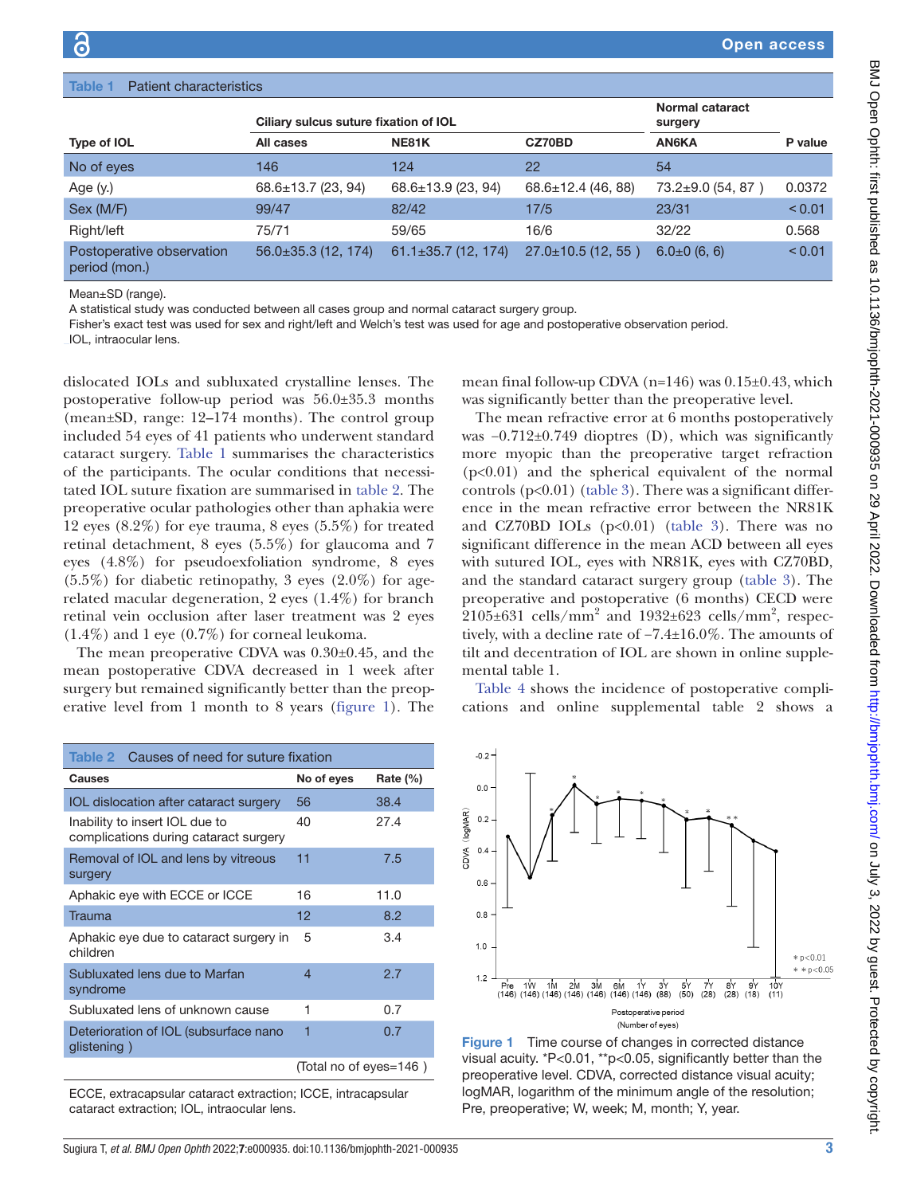<span id="page-2-0"></span>

| <b>Patient characteristics</b><br>Table 1  |                                       |                           |                          |                            |         |  |  |  |
|--------------------------------------------|---------------------------------------|---------------------------|--------------------------|----------------------------|---------|--|--|--|
|                                            | Ciliary sulcus suture fixation of IOL |                           |                          | Normal cataract<br>surgery |         |  |  |  |
| Type of IOL                                | All cases                             | <b>NE81K</b>              | CZ70BD                   | <b>AN6KA</b>               | P value |  |  |  |
| No of eyes                                 | 146                                   | 124                       | 22                       | 54                         |         |  |  |  |
| Age (y.)                                   | $68.6 \pm 13.7$ (23, 94)              | 68.6±13.9 (23, 94)        | $68.6 \pm 12.4$ (46, 88) | $73.2 \pm 9.0$ (54, 87)    | 0.0372  |  |  |  |
| Sex (M/F)                                  | 99/47                                 | 82/42                     | 17/5                     | 23/31                      | < 0.01  |  |  |  |
| Right/left                                 | 75/71                                 | 59/65                     | 16/6                     | 32/22                      | 0.568   |  |  |  |
| Postoperative observation<br>period (mon.) | $56.0\pm35.3$ (12, 174)               | $61.1 \pm 35.7$ (12, 174) | $27.0 \pm 10.5$ (12, 55) | $6.0\pm0(6, 6)$            | < 0.01  |  |  |  |

Mean±SD (range).

A statistical study was conducted between all cases group and normal cataract surgery group.

Fisher's exact test was used for sex and right/left and Welch's test was used for age and postoperative observation period.

IOL, intraocular lens.

dislocated IOLs and subluxated crystalline lenses. The postoperative follow-up period was 56.0±35.3 months (mean±SD, range: 12–174 months). The control group included 54 eyes of 41 patients who underwent standard cataract surgery. [Table](#page-2-0) 1 summarises the characteristics of the participants. The ocular conditions that necessitated IOL suture fixation are summarised in [table](#page-2-1) 2. The preoperative ocular pathologies other than aphakia were 12 eyes (8.2%) for eye trauma, 8 eyes (5.5%) for treated retinal detachment, 8 eyes (5.5%) for glaucoma and 7 eyes (4.8%) for pseudoexfoliation syndrome, 8 eyes  $(5.5\%)$  for diabetic retinopathy, 3 eyes  $(2.0\%)$  for agerelated macular degeneration, 2 eyes (1.4%) for branch retinal vein occlusion after laser treatment was 2 eyes  $(1.4\%)$  and 1 eye  $(0.7\%)$  for corneal leukoma.

The mean preoperative CDVA was 0.30±0.45, and the mean postoperative CDVA decreased in 1 week after surgery but remained significantly better than the preoperative level from 1 month to 8 years [\(figure](#page-2-2) 1). The

<span id="page-2-1"></span>

| Causes of need for suture fixation<br>Table 2                           |                        |              |  |  |
|-------------------------------------------------------------------------|------------------------|--------------|--|--|
| Causes                                                                  | No of eyes             | Rate $(\% )$ |  |  |
| IOL dislocation after cataract surgery                                  | 56                     | 38.4         |  |  |
| Inability to insert IOL due to<br>complications during cataract surgery | 40                     | 27.4         |  |  |
| Removal of IOL and lens by vitreous<br>surgery                          | 11                     | 7.5          |  |  |
| Aphakic eye with ECCE or ICCE                                           | 16                     | 11.0         |  |  |
| Trauma                                                                  | 12                     | 8.2          |  |  |
| Aphakic eye due to cataract surgery in<br>children                      | 5                      | 3.4          |  |  |
| Subluxated lens due to Marfan<br>syndrome                               | 4                      | 2.7          |  |  |
| Subluxated lens of unknown cause                                        | 1                      | 0.7          |  |  |
| Deterioration of IOL (subsurface nano<br>glistening)                    | 1                      | 0.7          |  |  |
|                                                                         | (Total no of eyes=146) |              |  |  |

ECCE, extracapsular cataract extraction; ICCE, intracapsular cataract extraction; IOL, intraocular lens.

mean final follow-up CDVA ( $n=146$ ) was  $0.15\pm0.43$ , which was significantly better than the preoperative level.

The mean refractive error at 6 months postoperatively was −0.712±0.749 dioptres (D), which was significantly more myopic than the preoperative target refraction (p<0.01) and the spherical equivalent of the normal controls  $(p<0.01)$  [\(table](#page-3-0) 3). There was a significant difference in the mean refractive error between the NR81K and CZ70BD IOLs  $(p<0.01)$  ([table](#page-3-0) 3). There was no significant difference in the mean ACD between all eyes with sutured IOL, eyes with NR81K, eyes with CZ70BD, and the standard cataract surgery group ([table](#page-3-0) 3). The preoperative and postoperative (6 months) CECD were  $2105\pm631$  cells/mm<sup>2</sup> and 1932 $\pm623$  cells/mm<sup>2</sup>, respectively, with a decline rate of −7.4±16.0%. The amounts of tilt and decentration of IOL are shown in [online supple](https://dx.doi.org/10.1136/bmjophth-2021-000935)[mental table 1](https://dx.doi.org/10.1136/bmjophth-2021-000935).

[Table](#page-3-1) 4 shows the incidence of postoperative complications and [online supplemental table 2](https://dx.doi.org/10.1136/bmjophth-2021-000935) shows a



<span id="page-2-2"></span>Figure 1 Time course of changes in corrected distance visual acuity. \*P<0.01, \*\*p<0.05, significantly better than the preoperative level. CDVA, corrected distance visual acuity; logMAR, logarithm of the minimum angle of the resolution; Pre, preoperative; W, week; M, month; Y, year.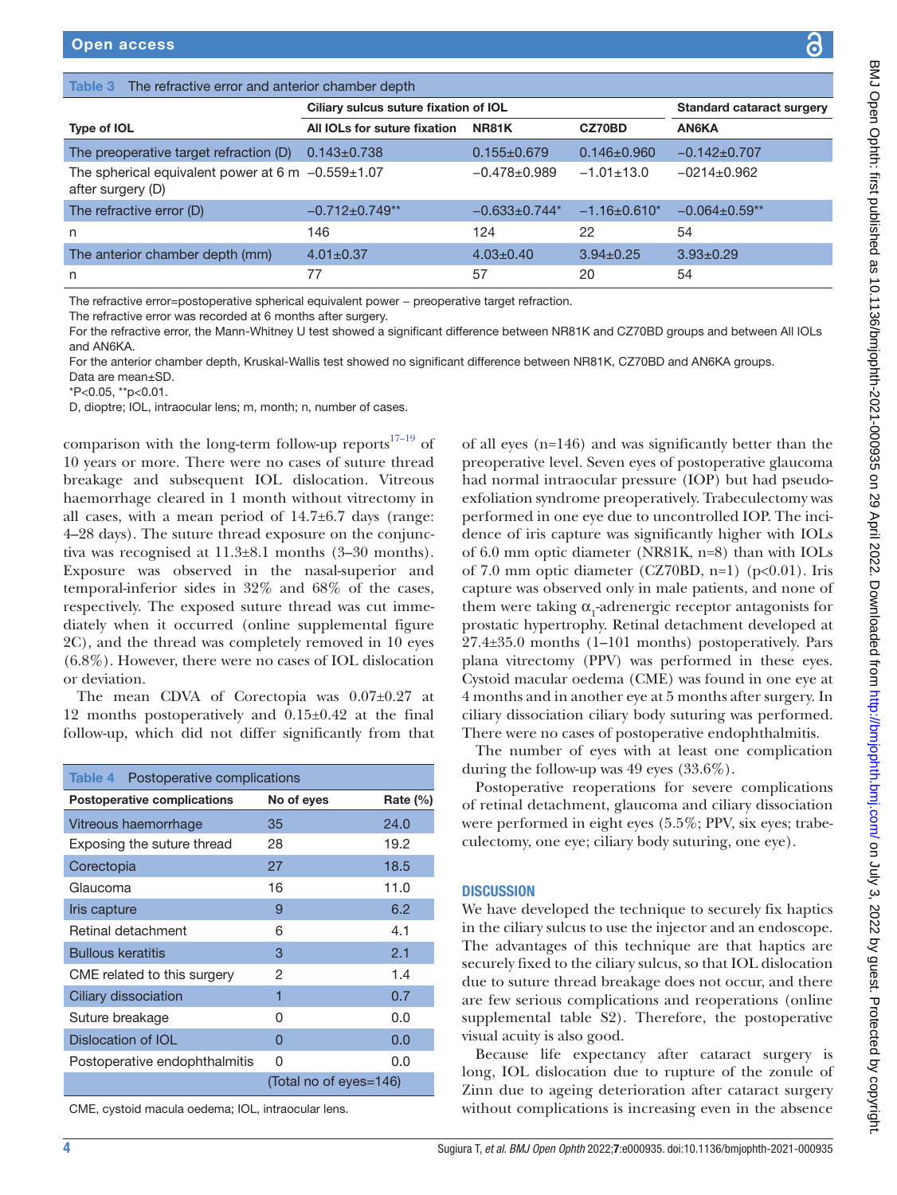<span id="page-3-0"></span>

| Table 3 The refractive error and anterior chamber depth                      |                                       |                                  |                   |                      |  |  |  |  |
|------------------------------------------------------------------------------|---------------------------------------|----------------------------------|-------------------|----------------------|--|--|--|--|
|                                                                              | Ciliary sulcus suture fixation of IOL | <b>Standard cataract surgery</b> |                   |                      |  |  |  |  |
| Type of IOL                                                                  | All IOLs for suture fixation          | <b>NR81K</b>                     | CZ70BD            | AN6KA                |  |  |  |  |
| The preoperative target refraction (D)                                       | $0.143 \pm 0.738$                     | $0.155 \pm 0.679$                | $0.146 \pm 0.960$ | $-0.142\pm0.707$     |  |  |  |  |
| The spherical equivalent power at 6 m $-0.559 \pm 1.07$<br>after surgery (D) |                                       | $-0.478 + 0.989$                 | $-1.01 \pm 13.0$  | $-0214+0.962$        |  |  |  |  |
| The refractive error (D)                                                     | $-0.712 \pm 0.749$ <sup>**</sup>      | $-0.633 \pm 0.744$ *             | $-1.16\pm0.610*$  | $-0.064 \pm 0.59$ ** |  |  |  |  |
| n                                                                            | 146                                   | 124                              | 22                | 54                   |  |  |  |  |
| The anterior chamber depth (mm)                                              | $4.01 \pm 0.37$                       | $4.03 \pm 0.40$                  | $3.94 \pm 0.25$   | $3.93 \pm 0.29$      |  |  |  |  |
| n                                                                            | 77                                    | 57                               | 20                | 54                   |  |  |  |  |

The refractive error=postoperative spherical equivalent power − preoperative target refraction.

The refractive error was recorded at 6 months after surgery.

For the refractive error, the Mann-Whitney U test showed a significant difference between NR81K and CZ70BD groups and between All IOLs and AN6KA.

For the anterior chamber depth, Kruskal-Wallis test showed no significant difference between NR81K, CZ70BD and AN6KA groups. Data are mean±SD.

\*P<0.05, \*\*p<0.01.

D, dioptre; IOL, intraocular lens; m, month; n, number of cases.

comparison with the long-term follow-up reports $17-19$  of 10 years or more. There were no cases of suture thread breakage and subsequent IOL dislocation. Vitreous haemorrhage cleared in 1 month without vitrectomy in all cases, with a mean period of  $14.7\pm6.7$  days (range: 4–28 days). The suture thread exposure on the conjunctiva was recognised at 11.3±8.1 months (3–30 months). Exposure was observed in the nasal-superior and temporal-inferior sides in 32% and 68% of the cases, respectively. The exposed suture thread was cut immediately when it occurred ([online supplemental figure](https://dx.doi.org/10.1136/bmjophth-2021-000935) [2C\)](https://dx.doi.org/10.1136/bmjophth-2021-000935), and the thread was completely removed in 10 eyes (6.8%). However, there were no cases of IOL dislocation or deviation.

The mean CDVA of Corectopia was 0.07±0.27 at 12 months postoperatively and 0.15±0.42 at the final follow-up, which did not differ significantly from that

<span id="page-3-1"></span>

| Postoperative complications<br>Table 4 |                        |          |  |  |  |
|----------------------------------------|------------------------|----------|--|--|--|
| <b>Postoperative complications</b>     | No of eyes             | Rate (%) |  |  |  |
| Vitreous haemorrhage                   | 35                     | 24.0     |  |  |  |
| Exposing the suture thread             | 28                     | 19.2     |  |  |  |
| Corectopia                             | 27                     | 18.5     |  |  |  |
| Glaucoma                               | 16                     | 11.0     |  |  |  |
| Iris capture                           | 9                      | 6.2      |  |  |  |
| Retinal detachment                     | 6                      | 4.1      |  |  |  |
| <b>Bullous keratitis</b>               | 3                      | 2.1      |  |  |  |
| CME related to this surgery            | 2                      | 1.4      |  |  |  |
| Ciliary dissociation                   | 1                      | 0.7      |  |  |  |
| Suture breakage                        | ი                      | 0.0      |  |  |  |
| Dislocation of IOL                     | O                      | 0.0      |  |  |  |
| Postoperative endophthalmitis          | 0                      | 0.0      |  |  |  |
|                                        | (Total no of eyes=146) |          |  |  |  |

CME, cystoid macula oedema; IOL, intraocular lens.

of all eyes (n=146) and was significantly better than the preoperative level. Seven eyes of postoperative glaucoma had normal intraocular pressure (IOP) but had pseudoexfoliation syndrome preoperatively. Trabeculectomy was performed in one eye due to uncontrolled IOP. The incidence of iris capture was significantly higher with IOLs of 6.0 mm optic diameter (NR81K, n=8) than with IOLs of 7.0 mm optic diameter (CZ70BD, n=1) ( $p<0.01$ ). Iris capture was observed only in male patients, and none of them were taking  $\alpha_{_1}$  adrenergic receptor antagonists for prostatic hypertrophy. Retinal detachment developed at 27.4±35.0 months (1–101 months) postoperatively. Pars plana vitrectomy (PPV) was performed in these eyes. Cystoid macular oedema (CME) was found in one eye at 4 months and in another eye at 5 months after surgery. In ciliary dissociation ciliary body suturing was performed. There were no cases of postoperative endophthalmitis.

The number of eyes with at least one complication during the follow-up was 49 eyes (33.6%).

Postoperative reoperations for severe complications of retinal detachment, glaucoma and ciliary dissociation were performed in eight eyes (5.5%; PPV, six eyes; trabeculectomy, one eye; ciliary body suturing, one eye).

#### **DISCUSSION**

We have developed the technique to securely fix haptics in the ciliary sulcus to use the injector and an endoscope. The advantages of this technique are that haptics are securely fixed to the ciliary sulcus, so that IOL dislocation due to suture thread breakage does not occur, and there are few serious complications and reoperations [\(online](https://dx.doi.org/10.1136/bmjophth-2021-000935) [supplemental table S2](https://dx.doi.org/10.1136/bmjophth-2021-000935)). Therefore, the postoperative visual acuity is also good.

Because life expectancy after cataract surgery is long, IOL dislocation due to rupture of the zonule of Zinn due to ageing deterioration after cataract surgery without complications is increasing even in the absence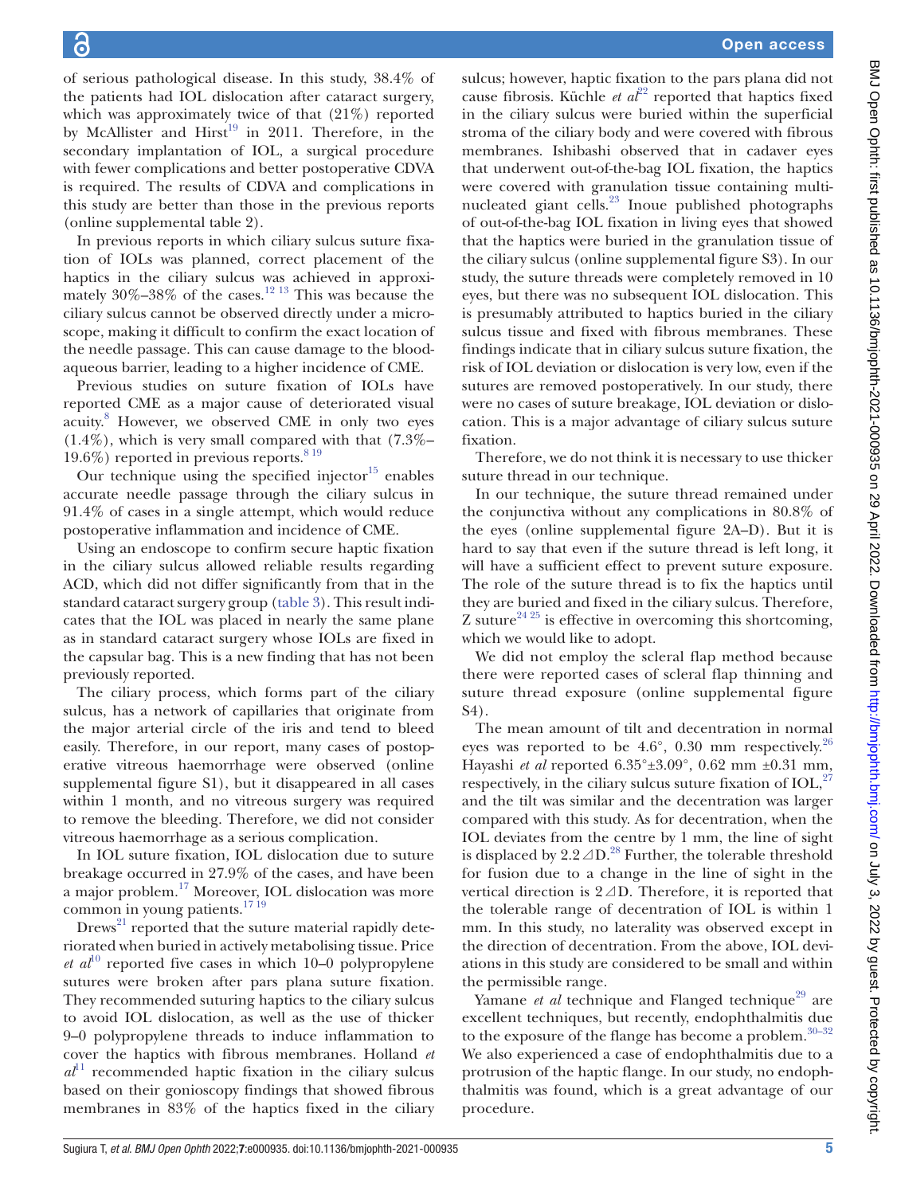of serious pathological disease. In this study, 38.4% of the patients had IOL dislocation after cataract surgery, which was approximately twice of that (21%) reported by McAllister and Hirst<sup>[19](#page-6-7)</sup> in 2011. Therefore, in the secondary implantation of IOL, a surgical procedure with fewer complications and better postoperative CDVA is required. The results of CDVA and complications in this study are better than those in the previous reports [\(online supplemental table 2](https://dx.doi.org/10.1136/bmjophth-2021-000935)).

In previous reports in which ciliary sulcus suture fixation of IOLs was planned, correct placement of the haptics in the ciliary sulcus was achieved in approximately  $30\% - 38\%$  of the cases.<sup>12 13</sup> This was because the ciliary sulcus cannot be observed directly under a microscope, making it difficult to confirm the exact location of the needle passage. This can cause damage to the bloodaqueous barrier, leading to a higher incidence of CME.

Previous studies on suture fixation of IOLs have reported CME as a major cause of deteriorated visual acuity.<sup>8</sup> However, we observed CME in only two eyes  $(1.4\%)$ , which is very small compared with that  $(7.3\% -$ 19.6%) reported in previous reports.  $819$ 

Our technique using the specified injector $15$  enables accurate needle passage through the ciliary sulcus in 91.4% of cases in a single attempt, which would reduce postoperative inflammation and incidence of CME.

Using an endoscope to confirm secure haptic fixation in the ciliary sulcus allowed reliable results regarding ACD, which did not differ significantly from that in the standard cataract surgery group [\(table](#page-3-0) 3). This result indicates that the IOL was placed in nearly the same plane as in standard cataract surgery whose IOLs are fixed in the capsular bag. This is a new finding that has not been previously reported.

The ciliary process, which forms part of the ciliary sulcus, has a network of capillaries that originate from the major arterial circle of the iris and tend to bleed easily. Therefore, in our report, many cases of postoperative vitreous haemorrhage were observed [\(online](https://dx.doi.org/10.1136/bmjophth-2021-000935) [supplemental figure S1\)](https://dx.doi.org/10.1136/bmjophth-2021-000935), but it disappeared in all cases within 1 month, and no vitreous surgery was required to remove the bleeding. Therefore, we did not consider vitreous haemorrhage as a serious complication.

In IOL suture fixation, IOL dislocation due to suture breakage occurred in 27.9% of the cases, and have been a major problem.[17](#page-6-5) Moreover, IOL dislocation was more common in young patients.<sup>1719</sup>

 $Drews<sup>21</sup>$  reported that the suture material rapidly deteriorated when buried in actively metabolising tissue. Price *et al*<sup>10</sup> reported five cases in which 10–0 polypropylene sutures were broken after pars plana suture fixation. They recommended suturing haptics to the ciliary sulcus to avoid IOL dislocation, as well as the use of thicker 9–0 polypropylene threads to induce inflammation to cover the haptics with fibrous membranes. Holland *et*   $a^{11}$  $a^{11}$  $a^{11}$  recommended haptic fixation in the ciliary sulcus based on their gonioscopy findings that showed fibrous membranes in 83% of the haptics fixed in the ciliary

sulcus; however, haptic fixation to the pars plana did not cause fibrosis. Küchle *et al*<sup>[22](#page-6-10)</sup> reported that haptics fixed in the ciliary sulcus were buried within the superficial stroma of the ciliary body and were covered with fibrous membranes. Ishibashi observed that in cadaver eyes that underwent out-of-the-bag IOL fixation, the haptics were covered with granulation tissue containing multinucleated giant cells.<sup>23</sup> Inoue published photographs of out-of-the-bag IOL fixation in living eyes that showed that the haptics were buried in the granulation tissue of the ciliary sulcus [\(online supplemental figure S3](https://dx.doi.org/10.1136/bmjophth-2021-000935)). In our study, the suture threads were completely removed in 10 eyes, but there was no subsequent IOL dislocation. This is presumably attributed to haptics buried in the ciliary sulcus tissue and fixed with fibrous membranes. These findings indicate that in ciliary sulcus suture fixation, the risk of IOL deviation or dislocation is very low, even if the sutures are removed postoperatively. In our study, there were no cases of suture breakage, IOL deviation or dislocation. This is a major advantage of ciliary sulcus suture fixation.

Therefore, we do not think it is necessary to use thicker suture thread in our technique.

In our technique, the suture thread remained under the conjunctiva without any complications in 80.8% of the eyes ([online supplemental figure 2A–D](https://dx.doi.org/10.1136/bmjophth-2021-000935)). But it is hard to say that even if the suture thread is left long, it will have a sufficient effect to prevent suture exposure. The role of the suture thread is to fix the haptics until they are buried and fixed in the ciliary sulcus. Therefore, Z suture<sup>24 25</sup> is effective in overcoming this shortcoming, which we would like to adopt.

We did not employ the scleral flap method because there were reported cases of scleral flap thinning and suture thread exposure [\(online supplemental figure](https://dx.doi.org/10.1136/bmjophth-2021-000935) [S4](https://dx.doi.org/10.1136/bmjophth-2021-000935)).

The mean amount of tilt and decentration in normal eyes was reported to be  $4.6^{\circ}$ , 0.30 mm respectively.<sup>26</sup> Hayashi *et al* reported 6.35°±3.09°, 0.62 mm ±0.31 mm, respectively, in the ciliary sulcus suture fixation of  $IOL<sub>27</sub>$  $IOL<sub>27</sub>$  $IOL<sub>27</sub>$ and the tilt was similar and the decentration was larger compared with this study. As for decentration, when the IOL deviates from the centre by 1 mm, the line of sight is displaced by 2.2 $\triangle$ D.<sup>[28](#page-6-15)</sup> Further, the tolerable threshold for fusion due to a change in the line of sight in the vertical direction is 2⊿D. Therefore, it is reported that the tolerable range of decentration of IOL is within 1 mm. In this study, no laterality was observed except in the direction of decentration. From the above, IOL deviations in this study are considered to be small and within the permissible range.

Yamane *et al* technique and Flanged technique<sup>29</sup> are excellent techniques, but recently, endophthalmitis due to the exposure of the flange has become a problem[.30–32](#page-6-17) We also experienced a case of endophthalmitis due to a protrusion of the haptic flange. In our study, no endophthalmitis was found, which is a great advantage of our procedure.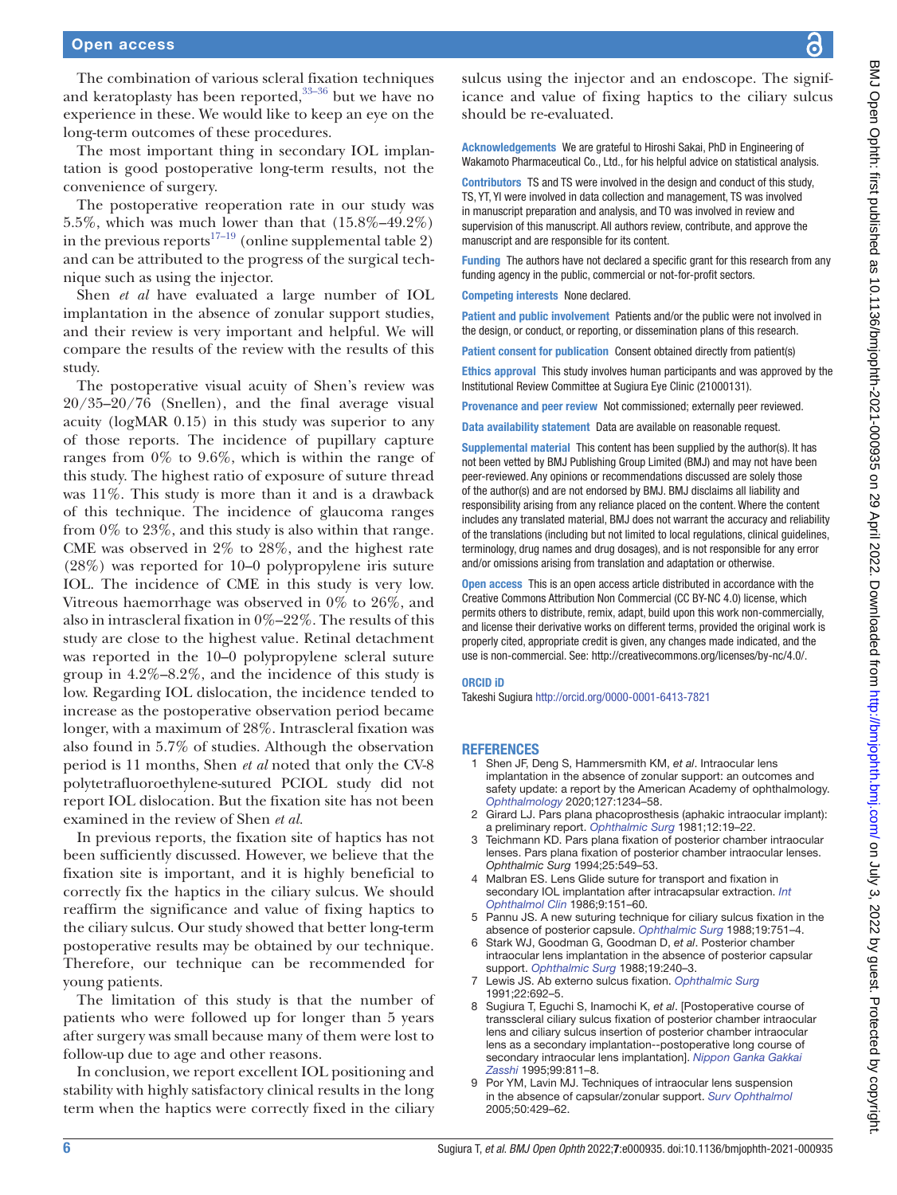The combination of various scleral fixation techniques and keratoplasty has been reported,  $33-36$  but we have no experience in these. We would like to keep an eye on the long-term outcomes of these procedures.

The most important thing in secondary IOL implantation is good postoperative long-term results, not the convenience of surgery.

The postoperative reoperation rate in our study was 5.5%, which was much lower than that (15.8%–49.2%) in the previous reports<sup>17–19</sup> [\(online supplemental table 2\)](https://dx.doi.org/10.1136/bmjophth-2021-000935) and can be attributed to the progress of the surgical technique such as using the injector.

Shen *et al* have evaluated a large number of IOL implantation in the absence of zonular support studies, and their review is very important and helpful. We will compare the results of the review with the results of this study.

The postoperative visual acuity of Shen's review was 20/35–20/76 (Snellen), and the final average visual acuity (logMAR 0.15) in this study was superior to any of those reports. The incidence of pupillary capture ranges from 0% to 9.6%, which is within the range of this study. The highest ratio of exposure of suture thread was 11%. This study is more than it and is a drawback of this technique. The incidence of glaucoma ranges from 0% to 23%, and this study is also within that range. CME was observed in 2% to 28%, and the highest rate (28%) was reported for 10–0 polypropylene iris suture IOL. The incidence of CME in this study is very low. Vitreous haemorrhage was observed in 0% to 26%, and also in intrascleral fixation in 0%–22%. The results of this study are close to the highest value. Retinal detachment was reported in the 10–0 polypropylene scleral suture group in 4.2%–8.2%, and the incidence of this study is low. Regarding IOL dislocation, the incidence tended to increase as the postoperative observation period became longer, with a maximum of 28%. Intrascleral fixation was also found in 5.7% of studies. Although the observation period is 11 months, Shen *et al* noted that only the CV-8 polytetrafluoroethylene-sutured PCIOL study did not report IOL dislocation. But the fixation site has not been examined in the review of Shen *et al.*

In previous reports, the fixation site of haptics has not been sufficiently discussed. However, we believe that the fixation site is important, and it is highly beneficial to correctly fix the haptics in the ciliary sulcus. We should reaffirm the significance and value of fixing haptics to the ciliary sulcus. Our study showed that better long-term postoperative results may be obtained by our technique. Therefore, our technique can be recommended for young patients.

The limitation of this study is that the number of patients who were followed up for longer than 5 years after surgery was small because many of them were lost to follow-up due to age and other reasons.

In conclusion, we report excellent IOL positioning and stability with highly satisfactory clinical results in the long term when the haptics were correctly fixed in the ciliary sulcus using the injector and an endoscope. The significance and value of fixing haptics to the ciliary sulcus should be re-evaluated.

Acknowledgements We are grateful to Hiroshi Sakai, PhD in Engineering of Wakamoto Pharmaceutical Co., Ltd., for his helpful advice on statistical analysis.

Contributors TS and TS were involved in the design and conduct of this study, TS, YT, YI were involved in data collection and management, TS was involved in manuscript preparation and analysis, and TO was involved in review and supervision of this manuscript. All authors review, contribute, and approve the manuscript and are responsible for its content.

Funding The authors have not declared a specific grant for this research from any funding agency in the public, commercial or not-for-profit sectors.

Competing interests None declared.

Patient and public involvement Patients and/or the public were not involved in the design, or conduct, or reporting, or dissemination plans of this research.

Patient consent for publication Consent obtained directly from patient(s)

Ethics approval This study involves human participants and was approved by the Institutional Review Committee at Sugiura Eye Clinic (21000131).

Provenance and peer review Not commissioned; externally peer reviewed.

Data availability statement Data are available on reasonable request.

Supplemental material This content has been supplied by the author(s). It has not been vetted by BMJ Publishing Group Limited (BMJ) and may not have been peer-reviewed. Any opinions or recommendations discussed are solely those of the author(s) and are not endorsed by BMJ. BMJ disclaims all liability and responsibility arising from any reliance placed on the content. Where the content includes any translated material, BMJ does not warrant the accuracy and reliability of the translations (including but not limited to local regulations, clinical guidelines, terminology, drug names and drug dosages), and is not responsible for any error and/or omissions arising from translation and adaptation or otherwise.

Open access This is an open access article distributed in accordance with the Creative Commons Attribution Non Commercial (CC BY-NC 4.0) license, which permits others to distribute, remix, adapt, build upon this work non-commercially, and license their derivative works on different terms, provided the original work is properly cited, appropriate credit is given, any changes made indicated, and the use is non-commercial. See:<http://creativecommons.org/licenses/by-nc/4.0/>.

#### ORCID iD

Takeshi Sugiura <http://orcid.org/0000-0001-6413-7821>

#### **REFERENCES**

- 1 Shen JF, Deng S, Hammersmith KM, *et al*. Intraocular lens implantation in the absence of zonular support: an outcomes and safety update: a report by the American Academy of ophthalmology. *[Ophthalmology](http://dx.doi.org/10.1016/j.ophtha.2020.03.005)* 2020;127:1234–58.
- <span id="page-5-0"></span>2 Girard LJ. Pars plana phacoprosthesis (aphakic intraocular implant): a preliminary report. *[Ophthalmic Surg](http://www.ncbi.nlm.nih.gov/pubmed/7231865)* 1981;12:19–22.
- Teichmann KD. Pars plana fixation of posterior chamber intraocular lenses. Pars plana fixation of posterior chamber intraocular lenses. *Ophthalmic Surg* 1994;25:549–53.
- <span id="page-5-1"></span>4 Malbran ES. Lens Glide suture for transport and fixation in secondary IOL implantation after intracapsular extraction. *[Int](http://dx.doi.org/10.1007/BF00159844)  [Ophthalmol Clin](http://dx.doi.org/10.1007/BF00159844)* 1986;9:151–60.
- 5 Pannu JS. A new suturing technique for ciliary sulcus fixation in the absence of posterior capsule. *[Ophthalmic Surg](http://dx.doi.org/10.3928/1542-8877-19881001-15)* 1988;19:751–4.
- 6 Stark WJ, Goodman G, Goodman D, *et al*. Posterior chamber intraocular lens implantation in the absence of posterior capsular support. *[Ophthalmic Surg](http://dx.doi.org/10.3928/1542-8877-19880401-05)* 1988;19:240–3.
- 7 Lewis JS. Ab externo sulcus fixation. *[Ophthalmic Surg](http://dx.doi.org/10.3928/1542-8877-19911101-14)* 1991;22:692–5.
- <span id="page-5-2"></span>8 Sugiura T, Eguchi S, Inamochi K, *et al*. [Postoperative course of transscleral ciliary sulcus fixation of posterior chamber intraocular lens and ciliary sulcus insertion of posterior chamber intraocular lens as a secondary implantation--postoperative long course of secondary intraocular lens implantation]. *[Nippon Ganka Gakkai](http://www.ncbi.nlm.nih.gov/pubmed/7661044)  [Zasshi](http://www.ncbi.nlm.nih.gov/pubmed/7661044)* 1995;99:811–8.
- 9 Por YM, Lavin MJ. Techniques of intraocular lens suspension in the absence of capsular/zonular support. *[Surv Ophthalmol](http://dx.doi.org/10.1016/j.survophthal.2005.06.010)* 2005;50:429–62.